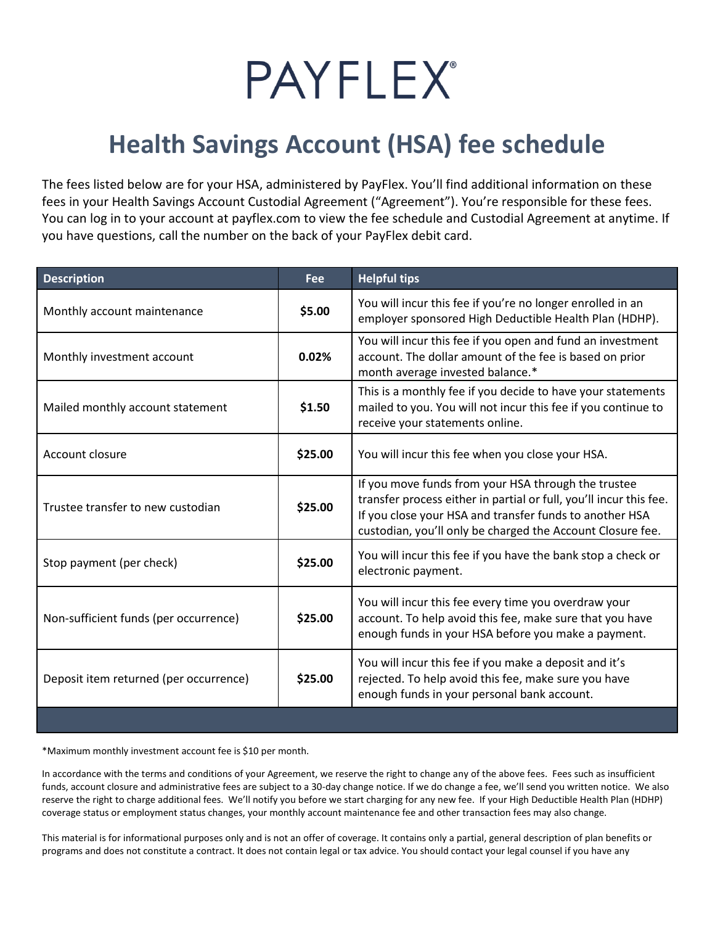

## **Health Savings Account (HSA) fee schedule**

The fees listed below are for your HSA, administered by PayFlex. You'll find additional information on these fees in your Health Savings Account Custodial Agreement ("Agreement"). You're responsible for these fees. You can log in to your account at payflex.com to view the fee schedule and Custodial Agreement at anytime. If you have questions, call the number on the back of your PayFlex debit card.

| <b>Description</b>                     | Fee     | <b>Helpful tips</b>                                                                                                                                                                                                                                |
|----------------------------------------|---------|----------------------------------------------------------------------------------------------------------------------------------------------------------------------------------------------------------------------------------------------------|
| Monthly account maintenance            | \$5.00  | You will incur this fee if you're no longer enrolled in an<br>employer sponsored High Deductible Health Plan (HDHP).                                                                                                                               |
| Monthly investment account             | 0.02%   | You will incur this fee if you open and fund an investment<br>account. The dollar amount of the fee is based on prior<br>month average invested balance.*                                                                                          |
| Mailed monthly account statement       | \$1.50  | This is a monthly fee if you decide to have your statements<br>mailed to you. You will not incur this fee if you continue to<br>receive your statements online.                                                                                    |
| Account closure                        | \$25.00 | You will incur this fee when you close your HSA.                                                                                                                                                                                                   |
| Trustee transfer to new custodian      | \$25.00 | If you move funds from your HSA through the trustee<br>transfer process either in partial or full, you'll incur this fee.<br>If you close your HSA and transfer funds to another HSA<br>custodian, you'll only be charged the Account Closure fee. |
| Stop payment (per check)               | \$25.00 | You will incur this fee if you have the bank stop a check or<br>electronic payment.                                                                                                                                                                |
| Non-sufficient funds (per occurrence)  | \$25.00 | You will incur this fee every time you overdraw your<br>account. To help avoid this fee, make sure that you have<br>enough funds in your HSA before you make a payment.                                                                            |
| Deposit item returned (per occurrence) | \$25.00 | You will incur this fee if you make a deposit and it's<br>rejected. To help avoid this fee, make sure you have<br>enough funds in your personal bank account.                                                                                      |
|                                        |         |                                                                                                                                                                                                                                                    |

\*Maximum monthly investment account fee is \$10 per month.

In accordance with the terms and conditions of your Agreement, we reserve the right to change any of the above fees. Fees such as insufficient funds, account closure and administrative fees are subject to a 30-day change notice. If we do change a fee, we'll send you written notice. We also reserve the right to charge additional fees. We'll notify you before we start charging for any new fee. If your High Deductible Health Plan (HDHP) coverage status or employment status changes, your monthly account maintenance fee and other transaction fees may also change.

This material is for informational purposes only and is not an offer of coverage. It contains only a partial, general description of plan benefits or programs and does not constitute a contract. It does not contain legal or tax advice. You should contact your legal counsel if you have any